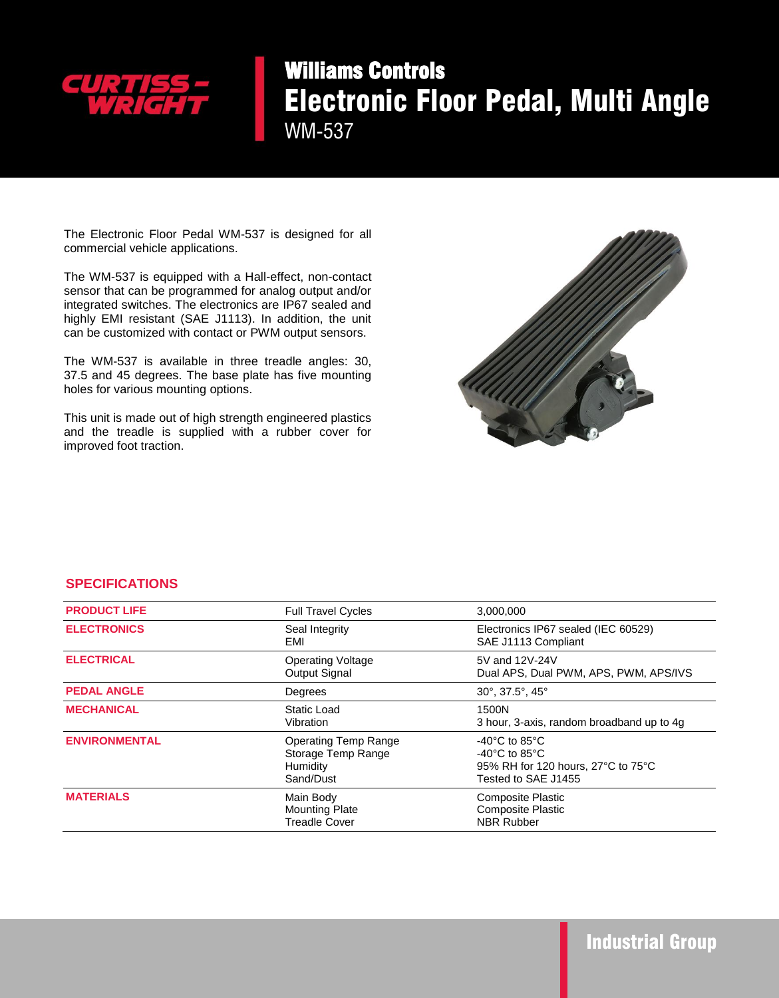

## Williams Controls Electronic Floor Pedal, Multi Angle WM-537

The Electronic Floor Pedal WM-537 is designed for all commercial vehicle applications.

 The WM-537 is equipped with a Hall-effect, non-contact sensor that can be programmed for analog output and/or integrated switches. The electronics are IP67 sealed and highly EMI resistant (SAE J1113). In addition, the unit can be customized with contact or PWM output sensors.

The WM-537 is available in three treadle angles: 30, 37.5 and 45 degrees. The base plate has five mounting holes for various mounting options.

This unit is made out of high strength engineered plastics and the treadle is supplied with a rubber cover for improved foot traction.



## **SPECIFICATIONS**

| <b>PRODUCT LIFE</b>  | <b>Full Travel Cycles</b>                                                  | 3,000,000                                                                                                                             |
|----------------------|----------------------------------------------------------------------------|---------------------------------------------------------------------------------------------------------------------------------------|
| <b>ELECTRONICS</b>   | Seal Integrity<br>EMI                                                      | Electronics IP67 sealed (IEC 60529)<br>SAE J1113 Compliant                                                                            |
| <b>ELECTRICAL</b>    | <b>Operating Voltage</b><br><b>Output Signal</b>                           | 5V and 12V-24V<br>Dual APS, Dual PWM, APS, PWM, APS/IVS                                                                               |
| <b>PEDAL ANGLE</b>   | Degrees                                                                    | $30^\circ$ , $37.5^\circ$ , $45^\circ$                                                                                                |
| <b>MECHANICAL</b>    | Static Load<br>Vibration                                                   | 1500N<br>3 hour, 3-axis, random broadband up to 4g                                                                                    |
| <b>ENVIRONMENTAL</b> | <b>Operating Temp Range</b><br>Storage Temp Range<br>Humidity<br>Sand/Dust | $-40^{\circ}$ C to 85 $^{\circ}$ C<br>$-40^{\circ}$ C to 85 $^{\circ}$ C<br>95% RH for 120 hours, 27°C to 75°C<br>Tested to SAE J1455 |
| <b>MATERIALS</b>     | Main Body<br><b>Mounting Plate</b><br><b>Treadle Cover</b>                 | <b>Composite Plastic</b><br><b>Composite Plastic</b><br><b>NBR Rubber</b>                                                             |